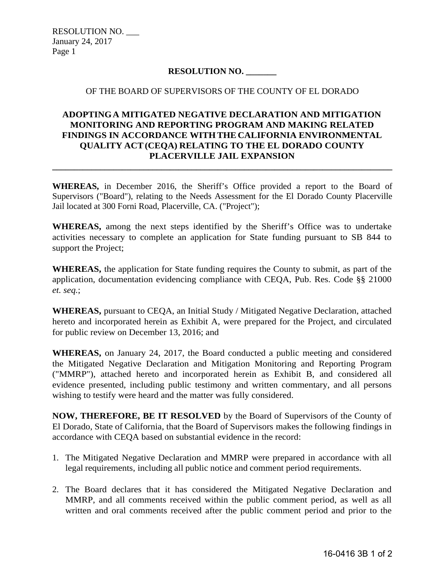RESOLUTION NO. \_\_\_ January 24, 2017 Page 1

## **RESOLUTION NO. \_\_\_\_\_\_\_**

## OF THE BOARD OF SUPERVISORS OF THE COUNTY OF EL DORADO

## **ADOPTING A MITIGATED NEGATIVE DECLARATION AND MITIGATION MONITORING AND REPORTING PROGRAM AND MAKING RELATED FINDINGS IN ACCORDANCE WITH THE CALIFORNIA ENVIRONMENTAL QUALITY ACT (CEQA) RELATING TO THE EL DORADO COUNTY PLACERVILLE JAIL EXPANSION**

**WHEREAS,** in December 2016, the Sheriff's Office provided a report to the Board of Supervisors ("Board"), relating to the Needs Assessment for the El Dorado County Placerville Jail located at 300 Forni Road, Placerville, CA. ("Project");

**\_\_\_\_\_\_\_\_\_\_\_\_\_\_\_\_\_\_\_\_\_\_\_\_\_\_\_\_\_\_\_\_\_\_\_\_\_\_\_\_\_\_\_\_\_\_\_\_\_\_\_\_\_\_\_\_\_\_\_\_\_\_\_\_\_\_\_\_\_\_\_\_\_\_\_\_\_\_** 

**WHEREAS,** among the next steps identified by the Sheriff's Office was to undertake activities necessary to complete an application for State funding pursuant to SB 844 to support the Project;

**WHEREAS,** the application for State funding requires the County to submit, as part of the application, documentation evidencing compliance with CEQA, Pub. Res. Code §§ 21000 *et. seq.*;

**WHEREAS,** pursuant to CEQA, an Initial Study / Mitigated Negative Declaration, attached hereto and incorporated herein as Exhibit A, were prepared for the Project, and circulated for public review on December 13, 2016; and

**WHEREAS,** on January 24, 2017, the Board conducted a public meeting and considered the Mitigated Negative Declaration and Mitigation Monitoring and Reporting Program ("MMRP"), attached hereto and incorporated herein as Exhibit B, and considered all evidence presented, including public testimony and written commentary, and all persons wishing to testify were heard and the matter was fully considered.

**NOW, THEREFORE, BE IT RESOLVED** by the Board of Supervisors of the County of El Dorado, State of California, that the Board of Supervisors makes the following findings in accordance with CEQA based on substantial evidence in the record:

- 1. The Mitigated Negative Declaration and MMRP were prepared in accordance with all legal requirements, including all public notice and comment period requirements.
- 2. The Board declares that it has considered the Mitigated Negative Declaration and MMRP, and all comments received within the public comment period, as well as all written and oral comments received after the public comment period and prior to the